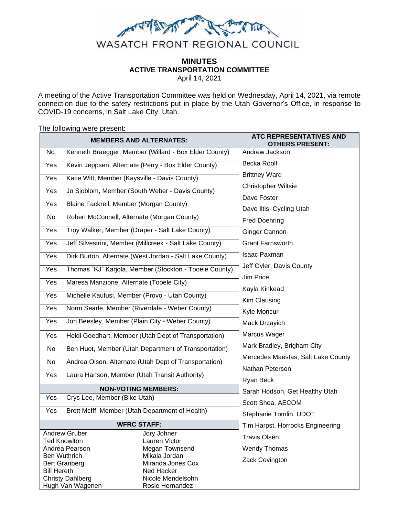

# **MINUTES ACTIVE TRANSPORTATION COMMITTEE**

April 14, 2021

A meeting of the Active Transportation Committee was held on Wednesday, April 14, 2021, via remote connection due to the safety restrictions put in place by the Utah Governor's Office, in response to COVID-19 concerns, in Salt Lake City, Utah.

The following were present:

| <b>MEMBERS AND ALTERNATES:</b>                                              |                                                                   |                                                         | ATC REPRESENTATIVES AND<br><b>IERS PRESENT:</b> |
|-----------------------------------------------------------------------------|-------------------------------------------------------------------|---------------------------------------------------------|-------------------------------------------------|
| No                                                                          |                                                                   | Kenneth Braegger, Member (Willard - Box Elder County)   | Andrew Jackson                                  |
| Yes                                                                         | Kevin Jeppsen, Alternate (Perry - Box Elder County)               |                                                         | Becka Roolf                                     |
| Yes                                                                         | Katie Witt, Member (Kaysville - Davis County)                     |                                                         | <b>Brittney Ward</b>                            |
|                                                                             | Jo Sjoblom, Member (South Weber - Davis County)<br>Yes            |                                                         | <b>Christopher Wiltsie</b>                      |
|                                                                             |                                                                   |                                                         | Dave Foster                                     |
| Yes                                                                         | Blaine Fackrell, Member (Morgan County)                           |                                                         | Dave Iltis, Cycling Utah                        |
| No                                                                          | Robert McConnell, Alternate (Morgan County)                       |                                                         | <b>Fred Doehring</b>                            |
| Yes                                                                         |                                                                   | Troy Walker, Member (Draper - Salt Lake County)         | Ginger Cannon                                   |
| Yes                                                                         |                                                                   | Jeff Silvestrini, Member (Millcreek - Salt Lake County) | <b>Grant Farnsworth</b>                         |
| Yes                                                                         |                                                                   | Dirk Burton, Alternate (West Jordan - Salt Lake County) | <b>Isaac Paxman</b>                             |
| Yes                                                                         | Thomas "KJ" Karjola, Member (Stockton - Tooele County)            |                                                         | Jeff Oyler, Davis County                        |
| Yes                                                                         | Maresa Manzione, Alternate (Tooele City)                          |                                                         | Jim Price                                       |
|                                                                             |                                                                   |                                                         | Kayla Kinkead                                   |
| Yes                                                                         |                                                                   | Michelle Kaufusi, Member (Provo - Utah County)          | Kim Clausing                                    |
| Yes                                                                         |                                                                   | Norm Searle, Member (Riverdale - Weber County)          | Kyle Moncur                                     |
| Yes                                                                         |                                                                   | Jon Beesley, Member (Plain City - Weber County)         | Mack Drzayich                                   |
| Yes                                                                         |                                                                   | Heidi Goedhart, Member (Utah Dept of Transportation)    | Marcus Wager                                    |
| No                                                                          | Ben Huot, Member (Utah Department of Transportation)              |                                                         | Mark Bradley, Brigham City                      |
| No                                                                          | Andrea Olson, Alternate (Utah Dept of Transportation)             |                                                         | Mercedes Maestas, Salt Lake County              |
| Yes                                                                         |                                                                   | Laura Hanson, Member (Utah Transit Authority)           | Nathan Peterson                                 |
|                                                                             |                                                                   |                                                         | Ryan Beck                                       |
|                                                                             | <b>NON-VOTING MEMBERS:</b><br>Yes<br>Crys Lee, Member (Bike Utah) |                                                         | Sarah Hodson, Get Healthy Utah                  |
|                                                                             |                                                                   |                                                         | Scott Shea, AECOM                               |
| Yes                                                                         |                                                                   | Brett McIff, Member (Utah Department of Health)         | Stephanie Tomlin, UDOT                          |
| <b>WFRC STAFF:</b>                                                          |                                                                   |                                                         | Tim Harpst, Horrocks Engineering                |
| <b>Andrew Gruber</b><br>Jory Johner<br>Lauren Victor<br><b>Ted Knowlton</b> |                                                                   | <b>Travis Olsen</b>                                     |                                                 |
| Andrea Pearson                                                              |                                                                   | Megan Townsend                                          | <b>Wendy Thomas</b>                             |
| Mikala Jordan<br><b>Ben Wuthrich</b>                                        |                                                                   |                                                         |                                                 |
| Miranda Jones Cox<br><b>Bert Granberg</b>                                   |                                                                   | Zack Covington                                          |                                                 |
| <b>Bill Hereth</b><br>Ned Hacker                                            |                                                                   |                                                         |                                                 |
| Nicole Mendelsohn<br><b>Christy Dahlberg</b>                                |                                                                   |                                                         |                                                 |
| Hugh Van Wagenen<br>Rosie Hernandez                                         |                                                                   |                                                         |                                                 |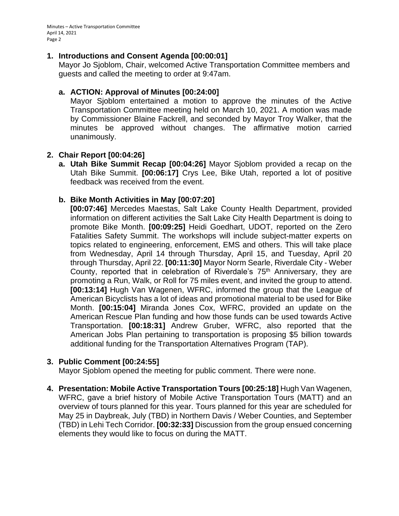Minutes – Active Transportation Committee April 14, 2021 Page 2

#### **1. Introductions and Consent Agenda [00:00:01]**

Mayor Jo Sjoblom, Chair, welcomed Active Transportation Committee members and guests and called the meeting to order at 9:47am.

#### **a. ACTION: Approval of Minutes [00:24:00]**

Mayor Sjoblom entertained a motion to approve the minutes of the Active Transportation Committee meeting held on March 10, 2021. A motion was made by Commissioner Blaine Fackrell, and seconded by Mayor Troy Walker, that the minutes be approved without changes. The affirmative motion carried unanimously.

#### **2. Chair Report [00:04:26]**

**a. Utah Bike Summit Recap [00:04:26]** Mayor Sjoblom provided a recap on the Utah Bike Summit. **[00:06:17]** Crys Lee, Bike Utah, reported a lot of positive feedback was received from the event.

#### **b. Bike Month Activities in May [00:07:20]**

**[00:07:46]** Mercedes Maestas, Salt Lake County Health Department, provided information on different activities the Salt Lake City Health Department is doing to promote Bike Month. **[00:09:25]** Heidi Goedhart, UDOT, reported on the Zero Fatalities Safety Summit. The workshops will include subject-matter experts on topics related to engineering, enforcement, EMS and others. This will take place from Wednesday, April 14 through Thursday, April 15, and Tuesday, April 20 through Thursday, April 22. **[00:11:30]** Mayor Norm Searle, Riverdale City - Weber County, reported that in celebration of Riverdale's 75<sup>th</sup> Anniversary, they are promoting a Run, Walk, or Roll for 75 miles event, and invited the group to attend. **[00:13:14]** Hugh Van Wagenen, WFRC, informed the group that the League of American Bicyclists has a lot of ideas and promotional material to be used for Bike Month. **[00:15:04]** Miranda Jones Cox, WFRC, provided an update on the American Rescue Plan funding and how those funds can be used towards Active Transportation. **[00:18:31]** Andrew Gruber, WFRC, also reported that the American Jobs Plan pertaining to transportation is proposing \$5 billion towards additional funding for the Transportation Alternatives Program (TAP).

#### **3. Public Comment [00:24:55]**

Mayor Sjoblom opened the meeting for public comment. There were none.

**4. Presentation: Mobile Active Transportation Tours [00:25:18]** Hugh Van Wagenen, WFRC, gave a brief history of Mobile Active Transportation Tours (MATT) and an overview of tours planned for this year. Tours planned for this year are scheduled for May 25 in Daybreak, July (TBD) in Northern Davis / Weber Counties, and September (TBD) in Lehi Tech Corridor. **[00:32:33]** Discussion from the group ensued concerning elements they would like to focus on during the MATT.